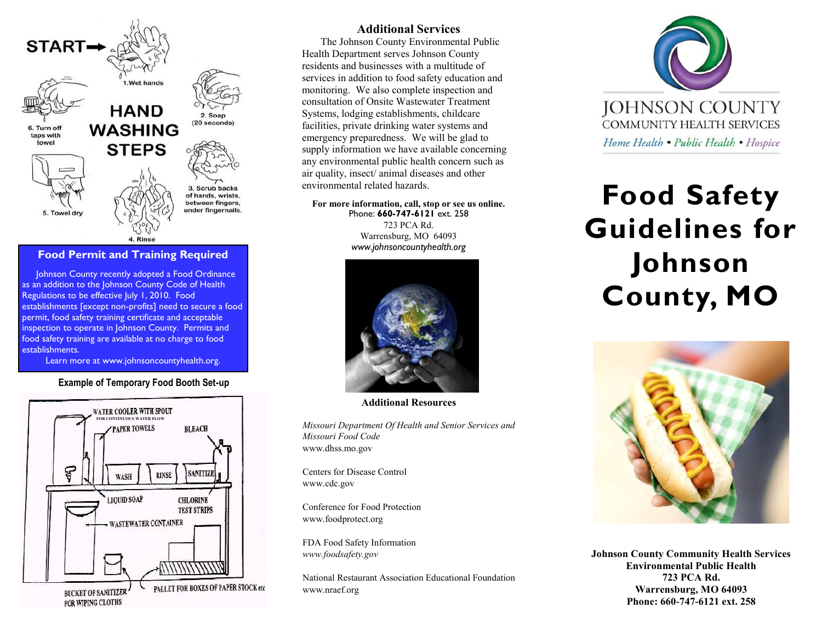

### **Food Permit and Training Required**

Johnson County recently adopted a Food Ordinance as an addition to the Johnson County Code of Health Regulations to be effective July 1, 2010. Food establishments [except non-profits] need to secure a food permit, food safety training certificate and acceptable inspection to operate in Johnson County. Permits and food safety training are available at no charge to food establishments.

Learn more at www.johnsoncountyhealth.org.

### **Example of Temporary Food Booth Set-up**



### **Additional Services**

The Johnson County Environmental Public Health Department serves Johnson County residents and businesses with a multitude of services in addition to food safety education and monitoring. We also complete inspection and consultation of Onsite Wastewater Treatment Systems, lodging establishments, childcare facilities, private drinking water systems and emergency preparedness. We will be glad to supply information we have available concerning any environmental public health concern such as air quality, insect/ animal diseases and other environmental related hazards.

#### **For more information, call, stop or see us online.**  Phone: **660-747-6121** ext. 258

723 PCA Rd. Warrensburg, MO 64093 *www.johnsoncountyhealth.org*



**Additional Resources**

*Missouri Department Of Health and Senior Services and Missouri Food Code* www.dhss.mo.gov

Centers for Disease Control www.cdc.gov

Conference for Food Protection www.foodprotect.org

FDA Food Safety Information *www.foodsafety.gov*

National Restaurant Association Educational Foundation www.nraef.org



# **Food Safety Guidelines for Johnson County, MO**



**Johnson County Community Health Services Environmental Public Health 723 PCA Rd. Warrensburg, MO 64093 Phone: 660-747-6121 ext. 258**